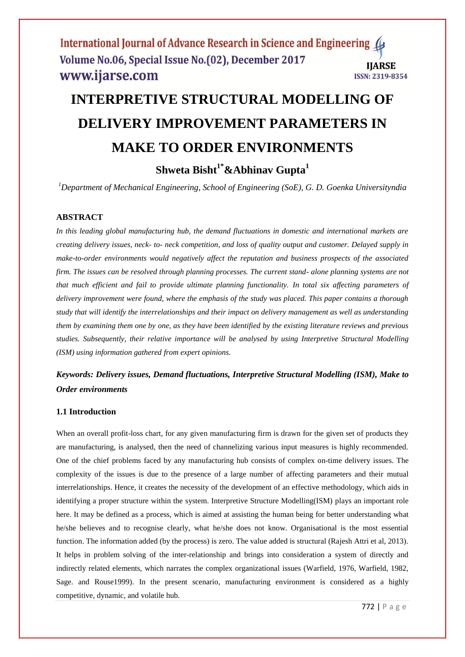# **INTERPRETIVE STRUCTURAL MODELLING OF DELIVERY IMPROVEMENT PARAMETERS IN MAKE TO ORDER ENVIRONMENTS**

**Shweta Bisht1\*&Abhinav Gupta<sup>1</sup>**

*<sup>1</sup>Department of Mechanical Engineering, School of Engineering (SoE), G. D. Goenka Universityndia*

# **ABSTRACT**

*In this leading global manufacturing hub, the demand fluctuations in domestic and international markets are creating delivery issues, neck- to- neck competition, and loss of quality output and customer. Delayed supply in make-to-order environments would negatively affect the reputation and business prospects of the associated firm. The issues can be resolved through planning processes. The current stand- alone planning systems are not that much efficient and fail to provide ultimate planning functionality. In total six affecting parameters of delivery improvement were found, where the emphasis of the study was placed. This paper contains a thorough study that will identify the interrelationships and their impact on delivery management as well as understanding them by examining them one by one, as they have been identified by the existing literature reviews and previous studies. Subsequently, their relative importance will be analysed by using Interpretive Structural Modelling (ISM) using information gathered from expert opinions.*

# *Keywords: Delivery issues, Demand fluctuations, Interpretive Structural Modelling (ISM), Make to Order environments*

#### **1.1 Introduction**

When an overall profit-loss chart, for any given manufacturing firm is drawn for the given set of products they are manufacturing, is analysed, then the need of channelizing various input measures is highly recommended. One of the chief problems faced by any manufacturing hub consists of complex on-time delivery issues. The complexity of the issues is due to the presence of a large number of affecting parameters and their mutual interrelationships. Hence, it creates the necessity of the development of an effective methodology, which aids in identifying a proper structure within the system. Interpretive Structure Modelling(ISM) plays an important role here. It may be defined as a process, which is aimed at assisting the human being for better understanding what he/she believes and to recognise clearly, what he/she does not know. Organisational is the most essential function. The information added (by the process) is zero. The value added is structural (Rajesh Attri et al, 2013). It helps in problem solving of the inter-relationship and brings into consideration a system of directly and indirectly related elements, which narrates the complex organizational issues (Warfield, 1976, Warfield, 1982, Sage. and Rouse1999). In the present scenario, manufacturing environment is considered as a highly competitive, dynamic, and volatile hub.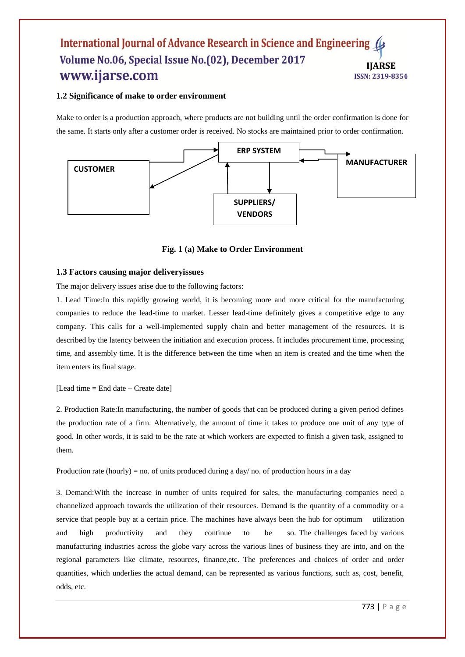#### **1.2 Significance of make to order environment**

Make to order is a production approach, where products are not building until the order confirmation is done for the same. It starts only after a customer order is received. No stocks are maintained prior to order confirmation.



**Fig. 1 (a) Make to Order Environment**

#### **1.3 Factors causing major deliveryissues**

The major delivery issues arise due to the following factors:

1. Lead Time:In this rapidly growing world, it is becoming more and more critical for the manufacturing companies to reduce the lead-time to market. Lesser lead-time definitely gives a competitive edge to any company. This calls for a well-implemented supply chain and better management of the resources. It is described by the latency between the initiation and execution process. It includes procurement time, processing time, and assembly time. It is the difference between the time when an item is created and the time when the item enters its final stage.

#### [Lead time = End date – Create date]

2. Production Rate:In manufacturing, the number of goods that can be produced during a given period defines the production rate of a firm. Alternatively, the amount of time it takes to produce one unit of any type of good. In other words, it is said to be the rate at which workers are expected to finish a given task, assigned to them.

Production rate (hourly) = no. of units produced during a day/ no. of production hours in a day

3. Demand:With the increase in number of units required for sales, the manufacturing companies need a channelized approach towards the utilization of their resources. Demand is the quantity of a commodity or a service that people buy at a certain price. The machines have always been the hub for optimum utilization and high productivity and they continue to be so. The challenges faced by various manufacturing industries across the globe vary across the various lines of business they are into, and on the regional parameters like climate, resources, finance,etc. The preferences and choices of order and order quantities, which underlies the actual demand, can be represented as various functions, such as, cost, benefit, odds, etc.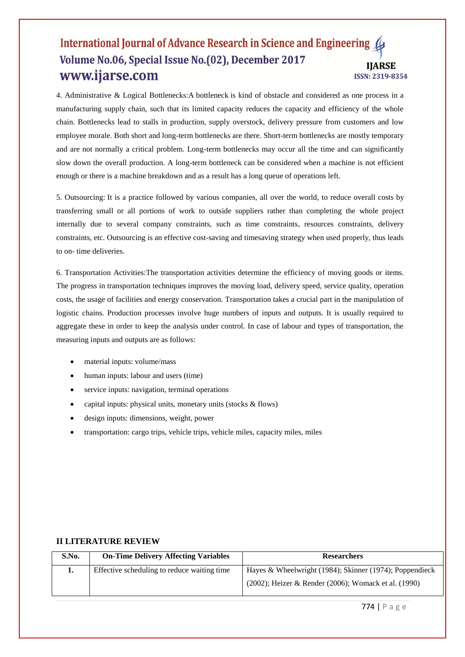4. Administrative & Logical Bottlenecks:A bottleneck is kind of obstacle and considered as one process in a manufacturing supply chain, such that its limited capacity reduces the capacity and efficiency of the whole chain. Bottlenecks lead to stalls in production, supply overstock, delivery pressure from customers and low employee morale. Both short and long-term bottlenecks are there. Short-term bottlenecks are mostly temporary and are not normally a critical problem. Long-term bottlenecks may occur all the time and can significantly slow down the overall production. A long-term bottleneck can be considered when a machine is not efficient enough or there is a machine breakdown and as a result has a long queue of operations left.

5. Outsourcing: It is a practice followed by various companies, all over the world, to reduce overall costs by transferring small or all portions of work to outside suppliers rather than completing the whole project internally due to several company constraints, such as time constraints, resources constraints, delivery constraints, etc. Outsourcing is an effective cost-saving and timesaving strategy when used properly, thus leads to on- time deliveries.

6. Transportation Activities:The transportation activities determine the efficiency of moving goods or items. The progress in transportation techniques improves the moving load, delivery speed, service quality, operation costs, the usage of facilities and energy conservation. Transportation takes a crucial part in the manipulation of logistic chains. Production processes involve huge numbers of inputs and outputs. It is usually required to aggregate these in order to keep the analysis under control. In case of labour and types of transportation, the measuring inputs and outputs are as follows:

- material inputs: volume/mass
- human inputs: labour and users (time)
- service inputs: navigation, terminal operations
- capital inputs: physical units, monetary units (stocks & flows)
- design inputs: dimensions, weight, power
- transportation: cargo trips, vehicle trips, vehicle miles, capacity miles, miles

| S.No. | <b>On-Time Delivery Affecting Variables</b> | <b>Researchers</b>                                            |
|-------|---------------------------------------------|---------------------------------------------------------------|
| ı.    | Effective scheduling to reduce waiting time | Hayes & Wheelwright $(1984)$ ; Skinner $(1974)$ ; Poppendieck |
|       |                                             | $(2002)$ ; Heizer & Render $(2006)$ ; Womack et al. $(1990)$  |

#### **II LITERATURE REVIEW**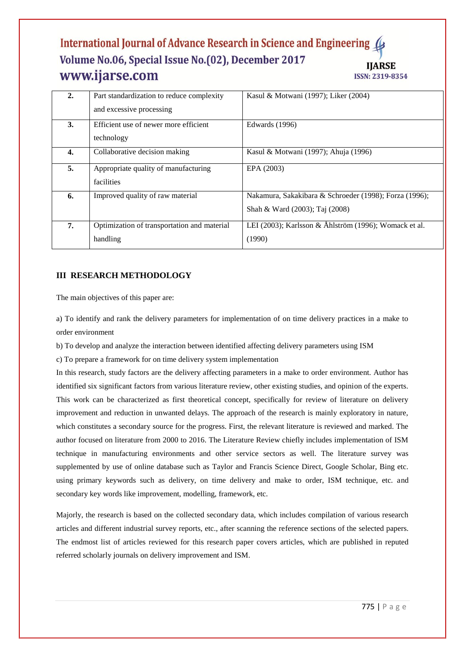| $\overline{2}$ . | Part standardization to reduce complexity<br>and excessive processing | Kasul & Motwani (1997); Liker (2004)                                                     |
|------------------|-----------------------------------------------------------------------|------------------------------------------------------------------------------------------|
| 3.               | Efficient use of newer more efficient<br>technology                   | Edwards (1996)                                                                           |
| 4.               | Collaborative decision making                                         | Kasul & Motwani (1997); Ahuja (1996)                                                     |
| 5.               | Appropriate quality of manufacturing<br>facilities                    | EPA (2003)                                                                               |
| 6.               | Improved quality of raw material                                      | Nakamura, Sakakibara & Schroeder (1998); Forza (1996);<br>Shah & Ward (2003); Taj (2008) |
| 7.               | Optimization of transportation and material<br>handling               | LEI (2003); Karlsson & Åhlström (1996); Womack et al.<br>(1990)                          |

# **III RESEARCH METHODOLOGY**

The main objectives of this paper are:

a) To identify and rank the delivery parameters for implementation of on time delivery practices in a make to order environment

b) To develop and analyze the interaction between identified affecting delivery parameters using ISM

c) To prepare a framework for on time delivery system implementation

In this research, study factors are the delivery affecting parameters in a make to order environment. Author has identified six significant factors from various literature review, other existing studies, and opinion of the experts. This work can be characterized as first theoretical concept, specifically for review of literature on delivery improvement and reduction in unwanted delays. The approach of the research is mainly exploratory in nature, which constitutes a secondary source for the progress. First, the relevant literature is reviewed and marked. The author focused on literature from 2000 to 2016. The Literature Review chiefly includes implementation of ISM technique in manufacturing environments and other service sectors as well. The literature survey was supplemented by use of online database such as Taylor and Francis Science Direct, Google Scholar, Bing etc. using primary keywords such as delivery, on time delivery and make to order, ISM technique, etc. and secondary key words like improvement, modelling, framework, etc.

Majorly, the research is based on the collected secondary data, which includes compilation of various research articles and different industrial survey reports, etc., after scanning the reference sections of the selected papers. The endmost list of articles reviewed for this research paper covers articles, which are published in reputed referred scholarly journals on delivery improvement and ISM.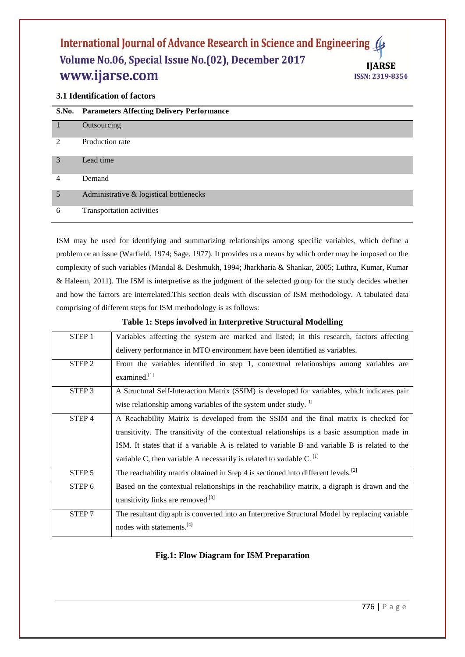# **3.1 Identification of factors**

|                             | S.No. Parameters Affecting Delivery Performance |
|-----------------------------|-------------------------------------------------|
|                             | Outsourcing                                     |
| $\mathcal{D}_{\mathcal{L}}$ | Production rate                                 |
| 3                           | Lead time                                       |
| 4                           | Demand                                          |
| 5                           | Administrative & logistical bottlenecks         |
| 6                           | Transportation activities                       |

ISM may be used for identifying and summarizing relationships among specific variables, which define a problem or an issue (Warfield, 1974; Sage, 1977). It provides us a means by which order may be imposed on the complexity of such variables (Mandal & Deshmukh, 1994; Jharkharia & Shankar, 2005; Luthra, Kumar, Kumar & Haleem, 2011). The ISM is interpretive as the judgment of the selected group for the study decides whether and how the factors are interrelated.This section deals with discussion of ISM methodology. A tabulated data comprising of different steps for ISM methodology is as follows:

#### **Table 1: Steps involved in Interpretive Structural Modelling**

| STEP <sub>1</sub> | Variables affecting the system are marked and listed; in this research, factors affecting      |
|-------------------|------------------------------------------------------------------------------------------------|
|                   | delivery performance in MTO environment have been identified as variables.                     |
| STEP <sub>2</sub> | From the variables identified in step 1, contextual relationships among variables are          |
|                   | examined. $[1]$                                                                                |
| STEP <sub>3</sub> | A Structural Self-Interaction Matrix (SSIM) is developed for variables, which indicates pair   |
|                   | wise relationship among variables of the system under study. <sup>[1]</sup>                    |
| STEP <sub>4</sub> | A Reachability Matrix is developed from the SSIM and the final matrix is checked for           |
|                   | transitivity. The transitivity of the contextual relationships is a basic assumption made in   |
|                   | ISM. It states that if a variable A is related to variable B and variable B is related to the  |
|                   | variable C, then variable A necessarily is related to variable C. $^{[1]}$                     |
| STEP <sub>5</sub> | The reachability matrix obtained in Step 4 is sectioned into different levels. <sup>[2]</sup>  |
| STEP 6            | Based on the contextual relationships in the reachability matrix, a digraph is drawn and the   |
|                   | transitivity links are removed <sup>[3]</sup>                                                  |
| STEP <sub>7</sub> | The resultant digraph is converted into an Interpretive Structural Model by replacing variable |
|                   | nodes with statements. <sup>[4]</sup>                                                          |

# **Fig.1: Flow Diagram for ISM Preparation**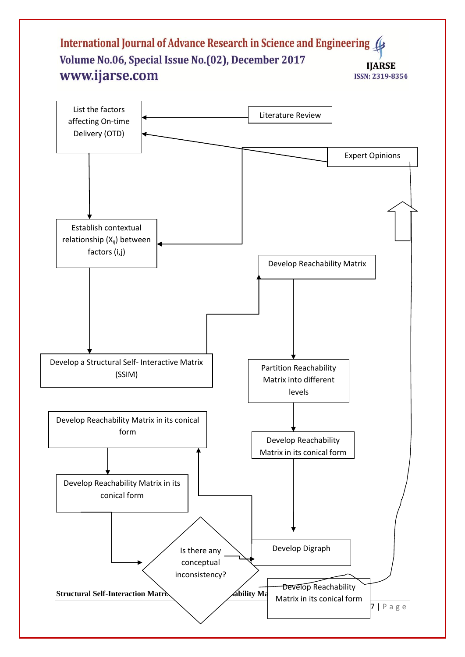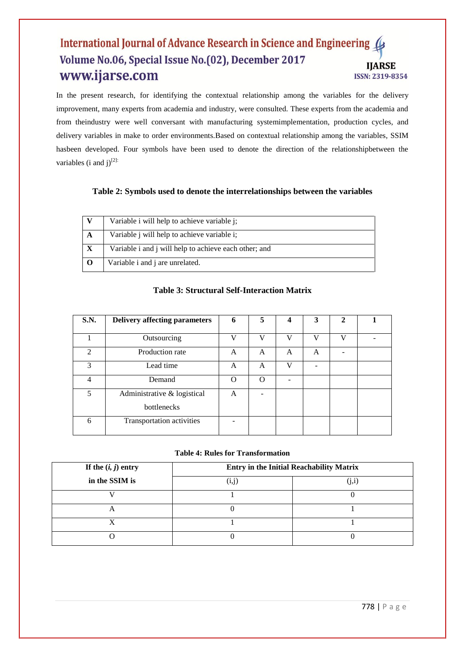In the present research, for identifying the contextual relationship among the variables for the delivery improvement, many experts from academia and industry, were consulted. These experts from the academia and from theindustry were well conversant with manufacturing systemimplementation, production cycles, and delivery variables in make to order environments.Based on contextual relationship among the variables, SSIM hasbeen developed. Four symbols have been used to denote the direction of the relationshipbetween the variables (i and  $i$ )<sup>[2]:</sup>

# **Table 2: Symbols used to denote the interrelationships between the variables**

|              | Variable i will help to achieve variable j;                |
|--------------|------------------------------------------------------------|
| A            | Variable <i>j</i> will help to achieve variable <i>i</i> ; |
| $\mathbf{X}$ | Variable i and j will help to achieve each other; and      |
|              | Variable <i>i</i> and <i>j</i> are unrelated.              |

# **Table 3: Structural Self-Interaction Matrix**

| <b>S.N.</b>                 | <b>Delivery affecting parameters</b>       | 6        | 5        | 4  | 3            | $\mathbf{2}$ |  |
|-----------------------------|--------------------------------------------|----------|----------|----|--------------|--------------|--|
|                             | Outsourcing                                | V        | V        | V) | $\mathbf{V}$ | $\mathbf{V}$ |  |
| $\mathcal{D}_{\mathcal{L}}$ | Production rate                            | A        | A        | A  | A            |              |  |
| 3                           | Lead time                                  | A        | A        | V  |              |              |  |
| 4                           | Demand                                     | $\Omega$ | $\Omega$ |    |              |              |  |
| 5                           | Administrative & logistical<br>bottlenecks | A        |          |    |              |              |  |
| 6                           | Transportation activities                  |          |          |    |              |              |  |

#### **Table 4: Rules for Transformation**

| If the $(i, j)$ entry | <b>Entry in the Initial Reachability Matrix</b> |     |  |  |
|-----------------------|-------------------------------------------------|-----|--|--|
| in the SSIM is        |                                                 | 1,1 |  |  |
|                       |                                                 |     |  |  |
|                       |                                                 |     |  |  |
|                       |                                                 |     |  |  |
|                       |                                                 |     |  |  |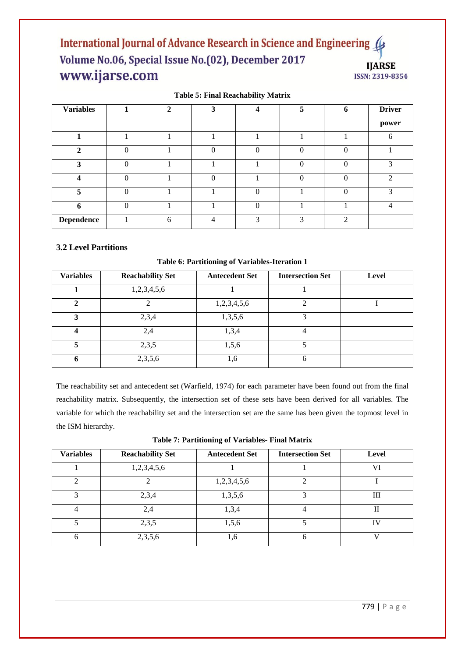**Table 5: Final Reachability Matrix**

| <b>Variables</b>       |          | $\mathbf{2}$ | 3         | Δ                       | 5            | 6 | <b>Driver</b> |
|------------------------|----------|--------------|-----------|-------------------------|--------------|---|---------------|
|                        |          |              |           |                         |              |   | power         |
|                        |          |              |           |                         |              |   |               |
| $\mathcal{D}$          | $\Omega$ |              | $\Omega$  | $\Omega$                |              |   |               |
| 3                      | $\Omega$ |              |           |                         |              |   | 2             |
| $\boldsymbol{\Lambda}$ | $\Omega$ |              | 0         |                         |              |   | ↑             |
| 5                      | $\Omega$ |              |           | $\Omega$                |              |   | $\mathbf{r}$  |
| 6                      | ∩        |              |           | $\Omega$                |              |   |               |
| <b>Dependence</b>      |          | 6            | $\Lambda$ | $\mathbf{\overline{3}}$ | $\mathbf{R}$ | ↑ |               |

# **3.2 Level Partitions**

**Table 6: Partitioning of Variables-Iteration 1**

| <b>Variables</b> | <b>Reachability Set</b> | <b>Antecedent Set</b> | <b>Intersection Set</b> | Level |
|------------------|-------------------------|-----------------------|-------------------------|-------|
|                  | 1,2,3,4,5,6             |                       |                         |       |
| $\mathbf{2}$     |                         | 1,2,3,4,5,6           |                         |       |
| 3                | 2,3,4                   | 1,3,5,6               |                         |       |
| 4                | 2.4                     | 1,3,4                 |                         |       |
|                  | 2,3,5                   | 1,5,6                 |                         |       |
| n                | 2,3,5,6                 | 1,6                   | 6                       |       |

The reachability set and antecedent set (Warfield, 1974) for each parameter have been found out from the final reachability matrix. Subsequently, the intersection set of these sets have been derived for all variables. The variable for which the reachability set and the intersection set are the same has been given the topmost level in the ISM hierarchy.

| <b>Variables</b> | <b>Reachability Set</b> | <b>Antecedent Set</b> | <b>Intersection Set</b> | <b>Level</b> |
|------------------|-------------------------|-----------------------|-------------------------|--------------|
|                  | 1,2,3,4,5,6             |                       |                         | VI           |
| ◠                |                         | 1,2,3,4,5,6           | ◠                       |              |
| 3                | 2,3,4                   | 1,3,5,6               | 3                       | Ш            |
| $\overline{4}$   | 2,4                     | 1,3,4                 | 4                       | П            |
| 5                | 2,3,5                   | 1,5,6                 |                         | TV           |
| 6                | 2,3,5,6                 | 1,6                   | O                       |              |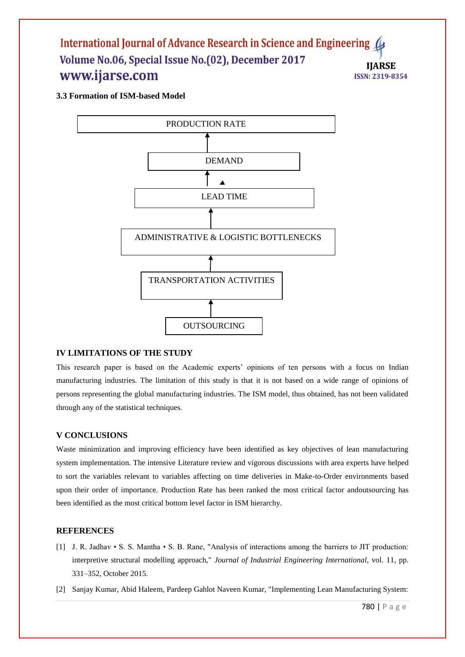**3.3 Formation of ISM-based Model**



# **IV LIMITATIONS OF THE STUDY**

This research paper is based on the Academic experts' opinions of ten persons with a focus on Indian manufacturing industries. The limitation of this study is that it is not based on a wide range of opinions of persons representing the global manufacturing industries. The ISM model, thus obtained, has not been validated through any of the statistical techniques.

#### **V CONCLUSIONS**

Waste minimization and improving efficiency have been identified as key objectives of lean manufacturing system implementation. The intensive Literature review and vigorous discussions with area experts have helped to sort the variables relevant to variables affecting on time deliveries in Make-to-Order environments based upon their order of importance. Production Rate has been ranked the most critical factor andoutsourcing has been identified as the most critical bottom level factor in ISM hierarchy.

#### **REFERENCES**

- [1] J. R. Jadhav S. S. Mantha S. B. Rane, "Analysis of interactions among the barriers to JIT production: interpretive structural modelling approach," *Journal of Industrial Engineering International*, vol. 11, pp. 331–352, October 2015.
- [2] Sanjay Kumar, Abid Haleem, Pardeep Gahlot Naveen Kumar, "Implementing Lean Manufacturing System: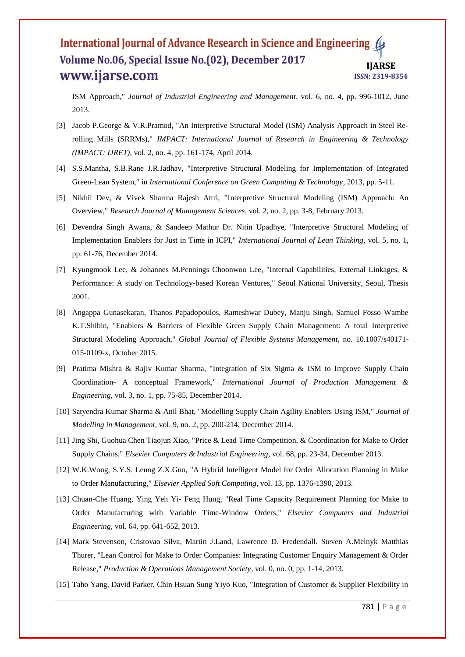ISM Approach," *Journal of Industrial Engineering and Management*, vol. 6, no. 4, pp. 996-1012, June 2013.

- [3] Jacob P.George & V.R.Pramod, "An Interpretive Structural Model (ISM) Analysis Approach in Steel Rerolling Mills (SRRMs)," *IMPACT: International Journal of Research in Engineering & Technology (IMPACT: IJRET)*, vol. 2, no. 4, pp. 161-174, April 2014.
- [4] S.S.Mantha, S.B.Rane J.R.Jadhav, "Interpretive Structural Modeling for Implementation of Integrated Green-Lean System," in *International Conference on Green Computing & Technology*, 2013, pp. 5-11.
- [5] Nikhil Dev, & Vivek Sharma Rajesh Attri, "Interpretive Structural Modeling (ISM) Approach: An Overview," *Research Journal of Management Sciences*, vol. 2, no. 2, pp. 3-8, February 2013.
- [6] Devendra Singh Awana, & Sandeep Mathur Dr. Nitin Upadhye, "Interpretive Structural Modeling of Implementation Enablers for Just in Time in ICPI," *International Journal of Lean Thinking*, vol. 5, no. 1, pp. 61-76, December 2014.
- [7] Kyungmook Lee, & Johannes M.Pennings Choonwoo Lee, "Internal Capabilities, External Linkages, & Performance: A study on Technology-based Korean Ventures," Seoul National University, Seoul, Thesis 2001.
- [8] Angappa Gunasekaran, Thanos Papadopoulos, Rameshwar Dubey, Manju Singh, Samuel Fosso Wambe K.T.Shibin, "Enablers & Barriers of Flexible Green Supply Chain Management: A total Interpretive Structural Modeling Approach," *Global Journal of Flexible Systems Management*, no. 10.1007/s40171- 015-0109-x, October 2015.
- [9] Pratima Mishra & Rajiv Kumar Sharma, "Integration of Six Sigma & ISM to Improve Supply Chain Coordination- A conceptual Framework," *International Journal of Production Management & Engineering*, vol. 3, no. 1, pp. 75-85, December 2014.
- [10] Satyendra Kumar Sharma & Anil Bhat, "Modelling Supply Chain Agility Enablers Using ISM," *Journal of Modelling in Management*, vol. 9, no. 2, pp. 200-214, December 2014.
- [11] Jing Shi, Guohua Chen Tiaojun Xiao, "Price & Lead Time Competition, & Coordination for Make to Order Supply Chains," *Elsevier Computers & Industrial Engineering*, vol. 68, pp. 23-34, December 2013.
- [12] W.K.Wong, S.Y.S. Leung Z.X.Guo, "A Hybrid Intelligent Model for Order Allocation Planning in Make to Order Manufacturing," *Elsevier Applied Soft Computing*, vol. 13, pp. 1376-1390, 2013.
- [13] Chuan-Che Huang, Ying Yeh Yi- Feng Hung, "Real Time Capacity Requirement Planning for Make to Order Manufacturing with Variable Time-Window Orders," *Elsevier Computers and Industrial Engineering*, vol. 64, pp. 641-652, 2013.
- [14] Mark Stevenson, Cristovao Silva, Martin J.Land, Lawrence D. Fredendall. Steven A.Melnyk Matthias Thurer, "Lean Control for Make to Order Companies: Integrating Customer Enquiry Management & Order Release," *Production & Operations Management Society*, vol. 0, no. 0, pp. 1-14, 2013.
- [15] Taho Yang, David Parker, Chin Hsuan Sung Yiyo Kuo, "Integration of Customer & Supplier Flexibility in